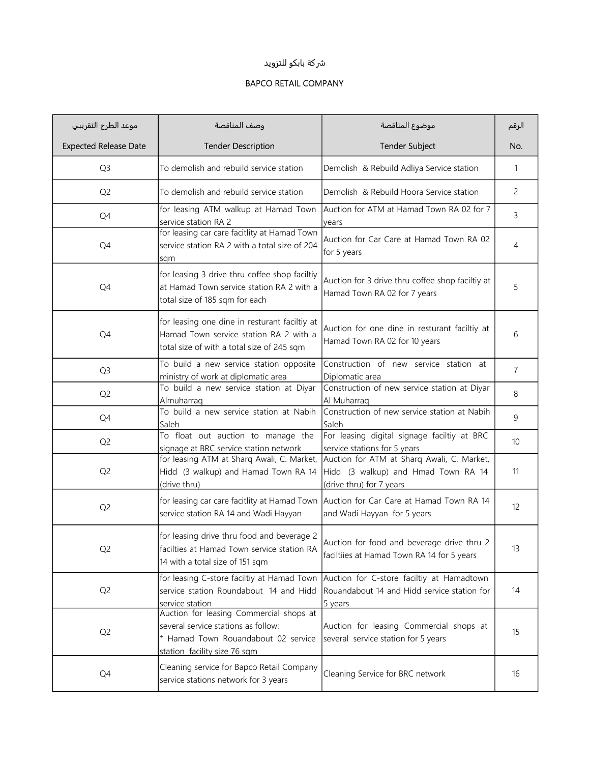## ුكة بابكو للتزويد

## BAPCO RETAIL COMPANY

| موعد الطرح التقريبي          | وصف المناقصة                                                                                                                                          | موضوع المناقصة                                                                                                | الرقم          |
|------------------------------|-------------------------------------------------------------------------------------------------------------------------------------------------------|---------------------------------------------------------------------------------------------------------------|----------------|
| <b>Expected Release Date</b> | <b>Tender Description</b>                                                                                                                             | <b>Tender Subject</b>                                                                                         | No.            |
| Q <sub>3</sub>               | To demolish and rebuild service station                                                                                                               | Demolish & Rebuild Adliya Service station                                                                     | 1              |
| Q <sub>2</sub>               | To demolish and rebuild service station                                                                                                               | Demolish & Rebuild Hoora Service station                                                                      | 2              |
| Q4                           | for leasing ATM walkup at Hamad Town<br>service station RA 2                                                                                          | Auction for ATM at Hamad Town RA 02 for 7<br>vears                                                            | 3              |
| Q4                           | for leasing car care facitlity at Hamad Town<br>service station RA 2 with a total size of 204<br>sqm                                                  | Auction for Car Care at Hamad Town RA 02<br>for 5 years                                                       | 4              |
| Q4                           | for leasing 3 drive thru coffee shop faciltiy<br>at Hamad Town service station RA 2 with a<br>total size of 185 sqm for each                          | Auction for 3 drive thru coffee shop faciltiy at<br>Hamad Town RA 02 for 7 years                              | 5              |
| Q4                           | for leasing one dine in resturant faciltiy at<br>Hamad Town service station RA 2 with a<br>total size of with a total size of 245 sqm                 | Auction for one dine in resturant faciltiy at<br>Hamad Town RA 02 for 10 years                                | 6              |
| Q <sub>3</sub>               | To build a new service station opposite<br>ministry of work at diplomatic area                                                                        | Construction of new service station at<br>Diplomatic area                                                     | $\overline{7}$ |
| Q <sub>2</sub>               | To build a new service station at Diyar<br>Almuharraq                                                                                                 | Construction of new service station at Diyar<br>Al Muharraq                                                   | 8              |
| Q4                           | To build a new service station at Nabih<br>Saleh                                                                                                      | Construction of new service station at Nabih<br>Saleh                                                         | 9              |
| Q <sub>2</sub>               | To float out auction to manage the<br>signage at BRC service station network                                                                          | For leasing digital signage faciltiy at BRC<br>service stations for 5 years                                   | 10             |
| Q <sub>2</sub>               | for leasing ATM at Sharq Awali, C. Market,<br>Hidd (3 walkup) and Hamad Town RA 14<br>(drive thru)                                                    | Auction for ATM at Sharq Awali, C. Market,<br>Hidd (3 walkup) and Hmad Town RA 14<br>(drive thru) for 7 years | 11             |
| Q <sub>2</sub>               | for leasing car care facitlity at Hamad Town<br>service station RA 14 and Wadi Hayyan                                                                 | Auction for Car Care at Hamad Town RA 14<br>and Wadi Hayyan for 5 years                                       | 12             |
| Q <sub>2</sub>               | for leasing drive thru food and beverage 2<br>facilties at Hamad Town service station RA<br>14 with a total size of 151 sqm                           | Auction for food and beverage drive thru 2<br>faciltiies at Hamad Town RA 14 for 5 years                      | 13             |
| Q <sub>2</sub>               | for leasing C-store faciltiy at Hamad Town<br>service station Roundabout 14 and Hidd<br>service station                                               | Auction for C-store faciltiy at Hamadtown<br>Rouandabout 14 and Hidd service station for<br>5 years           | 14             |
| Q <sub>2</sub>               | Auction for leasing Commercial shops at<br>several service stations as follow:<br>* Hamad Town Rouandabout 02 service<br>station facility size 76 sqm | Auction for leasing Commercial shops at<br>several service station for 5 years                                | 15             |
| Q4                           | Cleaning service for Bapco Retail Company<br>service stations network for 3 years                                                                     | Cleaning Service for BRC network                                                                              | 16             |